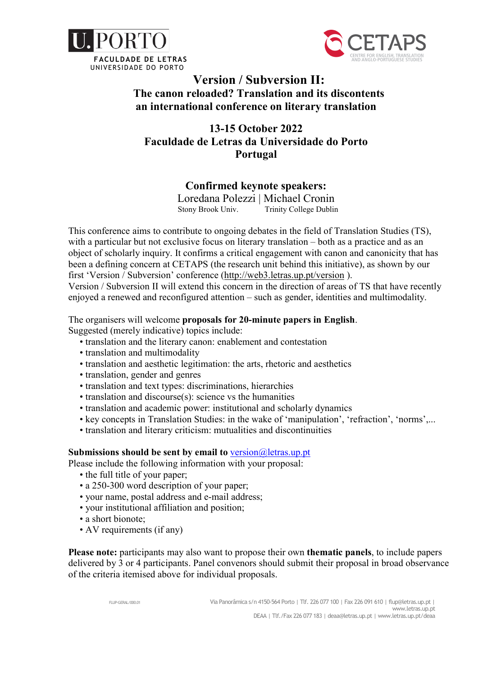



# Version / Subversion II: The canon reloaded? Translation and its discontents an international conference on literary translation

# 13-15 October 2022 Faculdade de Letras da Universidade do Porto Portugal

## Confirmed keynote speakers:

Loredana Polezzi | Michael Cronin Stony Brook Univ. Trinity College Dublin

This conference aims to contribute to ongoing debates in the field of Translation Studies (TS), with a particular but not exclusive focus on literary translation – both as a practice and as an object of scholarly inquiry. It confirms a critical engagement with canon and canonicity that has been a defining concern at CETAPS (the research unit behind this initiative), as shown by our first 'Version / Subversion' conference (http://web3.letras.up.pt/version ).

Version / Subversion II will extend this concern in the direction of areas of TS that have recently enjoyed a renewed and reconfigured attention – such as gender, identities and multimodality.

The organisers will welcome proposals for 20-minute papers in English. Suggested (merely indicative) topics include:

- translation and the literary canon: enablement and contestation
- translation and multimodality
- translation and aesthetic legitimation: the arts, rhetoric and aesthetics
- translation, gender and genres
- translation and text types: discriminations, hierarchies
- translation and discourse(s): science vs the humanities
- translation and academic power: institutional and scholarly dynamics
- key concepts in Translation Studies: in the wake of 'manipulation', 'refraction', 'norms',...
- translation and literary criticism: mutualities and discontinuities

### Submissions should be sent by email to  $version@letras.up.pt$

Please include the following information with your proposal:

- the full title of your paper;
- a 250-300 word description of your paper;
- your name, postal address and e-mail address;
- your institutional affiliation and position;
- a short bionote;
- AV requirements (if any)

Please note: participants may also want to propose their own thematic panels, to include papers delivered by 3 or 4 participants. Panel convenors should submit their proposal in broad observance of the criteria itemised above for individual proposals.